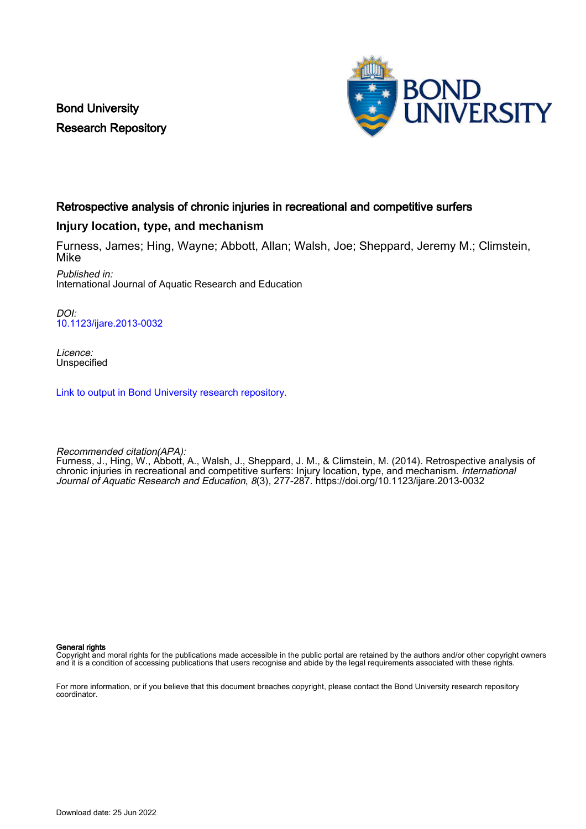Bond University Research Repository



## Retrospective analysis of chronic injuries in recreational and competitive surfers

## **Injury location, type, and mechanism**

Furness, James; Hing, Wayne; Abbott, Allan; Walsh, Joe; Sheppard, Jeremy M.; Climstein, Mike Published in:

International Journal of Aquatic Research and Education

DOI: [10.1123/ijare.2013-0032](https://doi.org/10.1123/ijare.2013-0032)

Licence: Unspecified

[Link to output in Bond University research repository.](https://research.bond.edu.au/en/publications/508f3060-3702-4c52-90e8-cbd62fa1fbae)

Recommended citation(APA):

Furness, J., Hing, W., Abbott, A., Walsh, J., Sheppard, J. M., & Climstein, M. (2014). Retrospective analysis of chronic injuries in recreational and competitive surfers: Injury location, type, and mechanism. International Journal of Aquatic Research and Education, 8(3), 277-287.<https://doi.org/10.1123/ijare.2013-0032>

General rights

Copyright and moral rights for the publications made accessible in the public portal are retained by the authors and/or other copyright owners and it is a condition of accessing publications that users recognise and abide by the legal requirements associated with these rights.

For more information, or if you believe that this document breaches copyright, please contact the Bond University research repository coordinator.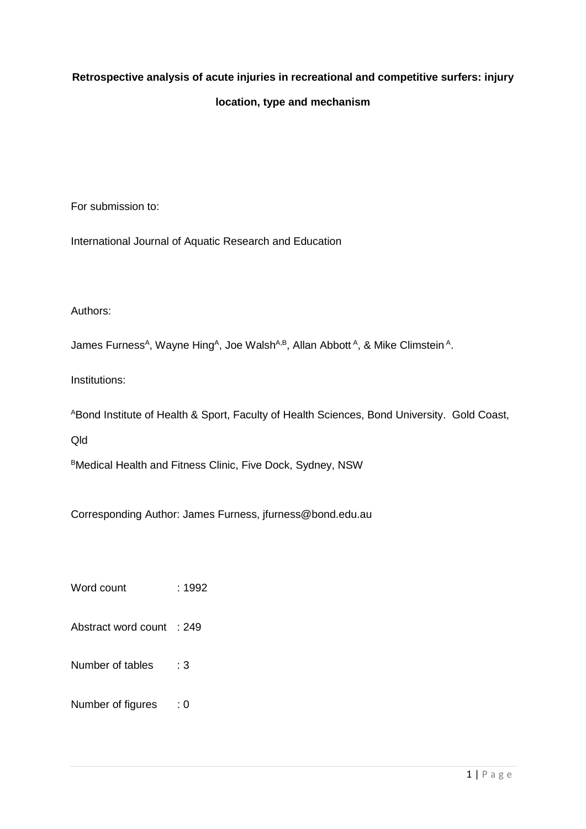# **Retrospective analysis of acute injuries in recreational and competitive surfers: injury location, type and mechanism**

For submission to:

International Journal of Aquatic Research and Education

# Authors:

James Furness<sup>A</sup>, Wayne Hing<sup>A</sup>, Joe Walsh<sup>A,B</sup>, Allan Abbott<sup>A</sup>, & Mike Climstein<sup>A</sup>.

Institutions:

ABond Institute of Health & Sport, Faculty of Health Sciences, Bond University. Gold Coast,

Qld

BMedical Health and Fitness Clinic, Five Dock, Sydney, NSW

Corresponding Author: James Furness, jfurness@bond.edu.au

Word count : 1992

- Abstract word count : 249
- Number of tables : 3
- Number of figures : 0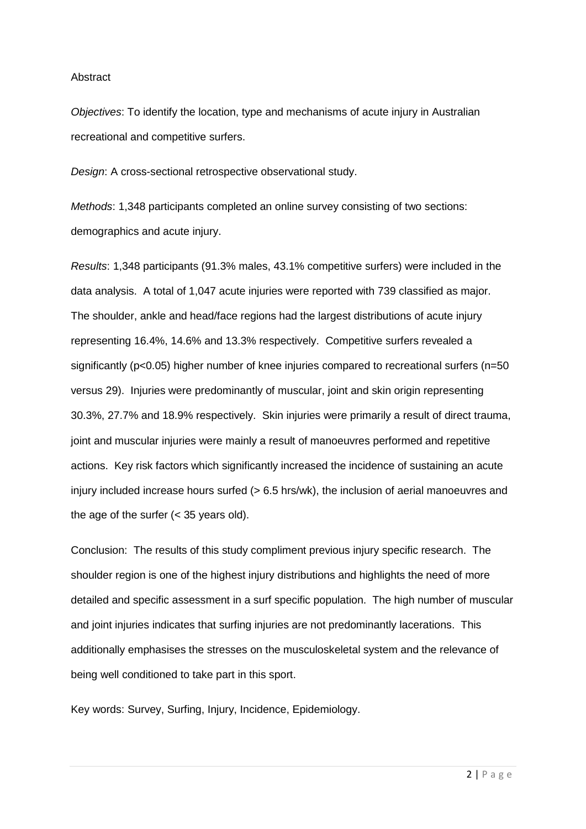#### **Abstract**

*Objectives*: To identify the location, type and mechanisms of acute injury in Australian recreational and competitive surfers.

*Design*: A cross-sectional retrospective observational study.

*Methods*: 1,348 participants completed an online survey consisting of two sections: demographics and acute injury.

*Results*: 1,348 participants (91.3% males, 43.1% competitive surfers) were included in the data analysis. A total of 1,047 acute injuries were reported with 739 classified as major. The shoulder, ankle and head/face regions had the largest distributions of acute injury representing 16.4%, 14.6% and 13.3% respectively. Competitive surfers revealed a significantly (p<0.05) higher number of knee injuries compared to recreational surfers (n=50 versus 29). Injuries were predominantly of muscular, joint and skin origin representing 30.3%, 27.7% and 18.9% respectively. Skin injuries were primarily a result of direct trauma, joint and muscular injuries were mainly a result of manoeuvres performed and repetitive actions. Key risk factors which significantly increased the incidence of sustaining an acute injury included increase hours surfed (> 6.5 hrs/wk), the inclusion of aerial manoeuvres and the age of the surfer (< 35 years old).

Conclusion: The results of this study compliment previous injury specific research. The shoulder region is one of the highest injury distributions and highlights the need of more detailed and specific assessment in a surf specific population. The high number of muscular and joint injuries indicates that surfing injuries are not predominantly lacerations. This additionally emphasises the stresses on the musculoskeletal system and the relevance of being well conditioned to take part in this sport.

Key words: Survey, Surfing, Injury, Incidence, Epidemiology.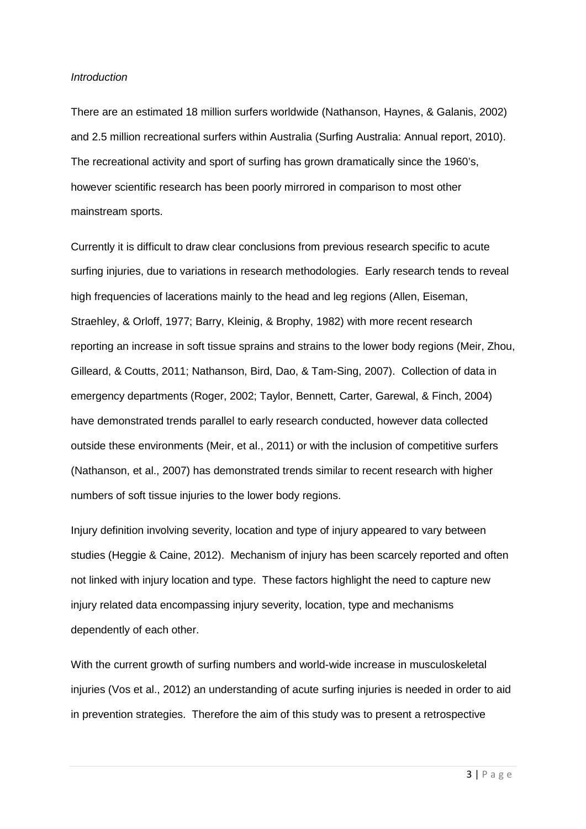#### *Introduction*

There are an estimated 18 million surfers worldwide [\(Nathanson, Haynes, & Galanis, 2002\)](#page-13-0) and 2.5 million recreational surfers within Australia [\(Surfing Australia: Annual report, 2010\)](#page-13-1). The recreational activity and sport of surfing has grown dramatically since the 1960's, however scientific research has been poorly mirrored in comparison to most other mainstream sports.

Currently it is difficult to draw clear conclusions from previous research specific to acute surfing injuries, due to variations in research methodologies. Early research tends to reveal high frequencies of lacerations mainly to the head and leg regions [\(Allen, Eiseman,](#page-12-0)  [Straehley, & Orloff, 1977;](#page-12-0) [Barry, Kleinig, & Brophy, 1982\)](#page-12-1) with more recent research reporting an increase in soft tissue sprains and strains to the lower body regions [\(Meir, Zhou,](#page-12-2)  [Gilleard, & Coutts, 2011;](#page-12-2) [Nathanson, Bird, Dao, & Tam-Sing, 2007\)](#page-13-2). Collection of data in emergency departments [\(Roger, 2002;](#page-13-3) [Taylor, Bennett, Carter, Garewal, & Finch, 2004\)](#page-13-4) have demonstrated trends parallel to early research conducted, however data collected outside these environments [\(Meir, et al., 2011\)](#page-12-2) or with the inclusion of competitive surfers [\(Nathanson, et al., 2007\)](#page-13-2) has demonstrated trends similar to recent research with higher numbers of soft tissue injuries to the lower body regions.

Injury definition involving severity, location and type of injury appeared to vary between studies [\(Heggie & Caine, 2012\)](#page-12-3). Mechanism of injury has been scarcely reported and often not linked with injury location and type. These factors highlight the need to capture new injury related data encompassing injury severity, location, type and mechanisms dependently of each other.

With the current growth of surfing numbers and world-wide increase in musculoskeletal injuries [\(Vos et al., 2012\)](#page-13-5) an understanding of acute surfing injuries is needed in order to aid in prevention strategies. Therefore the aim of this study was to present a retrospective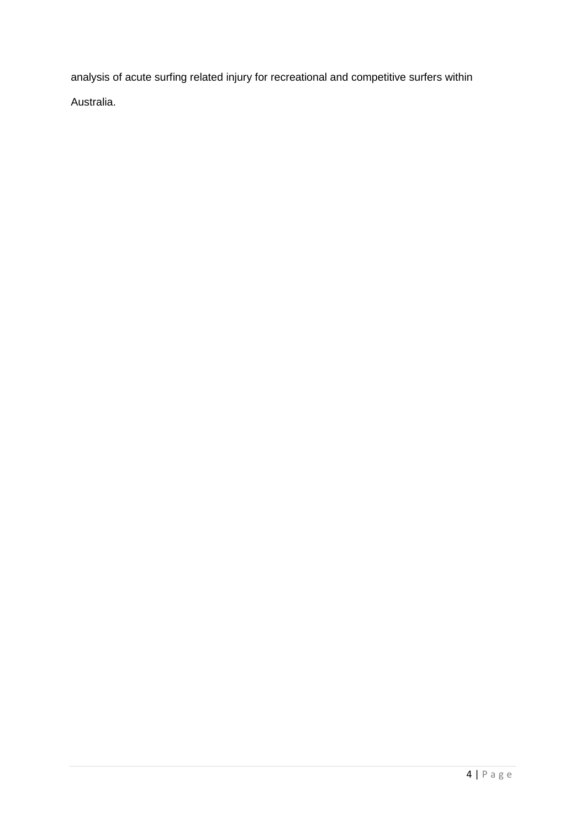analysis of acute surfing related injury for recreational and competitive surfers within Australia.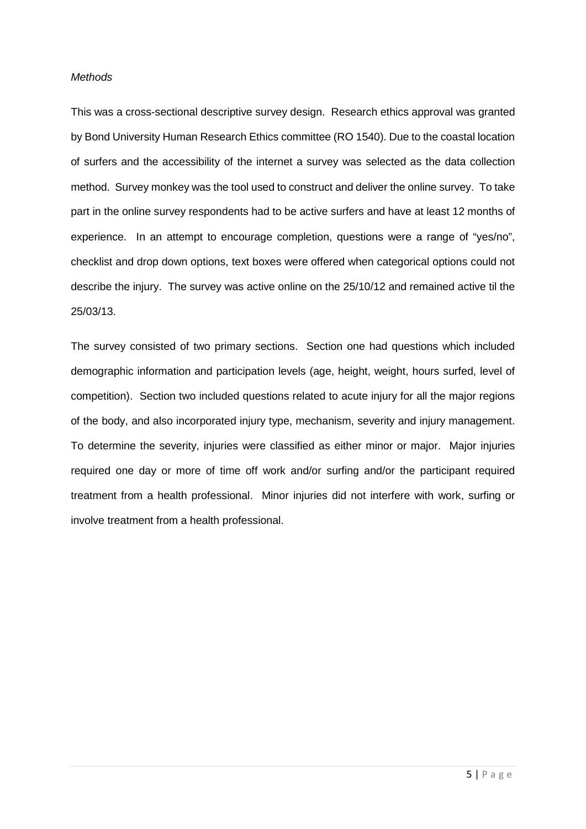#### *Methods*

This was a cross-sectional descriptive survey design. Research ethics approval was granted by Bond University Human Research Ethics committee (RO 1540). Due to the coastal location of surfers and the accessibility of the internet a survey was selected as the data collection method. Survey monkey was the tool used to construct and deliver the online survey. To take part in the online survey respondents had to be active surfers and have at least 12 months of experience. In an attempt to encourage completion, questions were a range of "yes/no", checklist and drop down options, text boxes were offered when categorical options could not describe the injury. The survey was active online on the 25/10/12 and remained active til the 25/03/13.

The survey consisted of two primary sections. Section one had questions which included demographic information and participation levels (age, height, weight, hours surfed, level of competition). Section two included questions related to acute injury for all the major regions of the body, and also incorporated injury type, mechanism, severity and injury management. To determine the severity, injuries were classified as either minor or major. Major injuries required one day or more of time off work and/or surfing and/or the participant required treatment from a health professional. Minor injuries did not interfere with work, surfing or involve treatment from a health professional.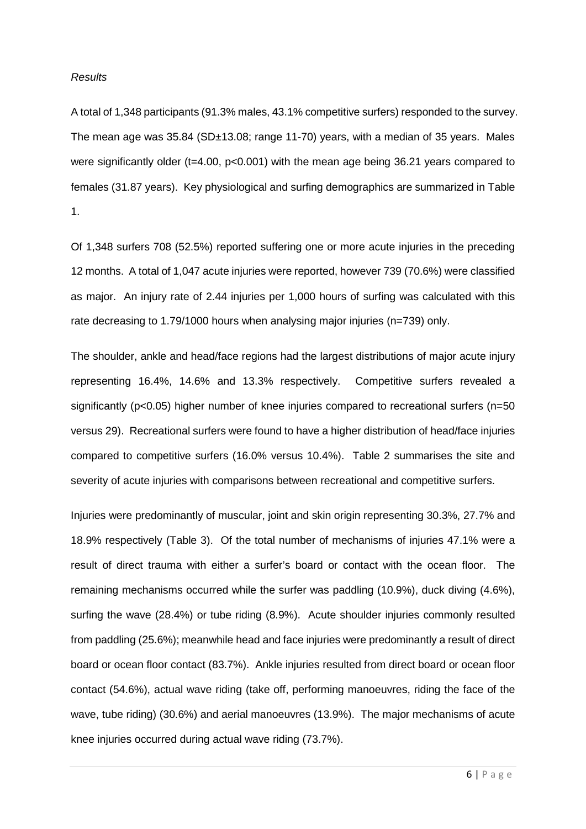#### *Results*

A total of 1,348 participants (91.3% males, 43.1% competitive surfers) responded to the survey. The mean age was 35.84 (SD±13.08; range 11-70) years, with a median of 35 years. Males were significantly older (t=4.00, p<0.001) with the mean age being 36.21 years compared to females (31.87 years). Key physiological and surfing demographics are summarized in Table 1.

Of 1,348 surfers 708 (52.5%) reported suffering one or more acute injuries in the preceding 12 months. A total of 1,047 acute injuries were reported, however 739 (70.6%) were classified as major. An injury rate of 2.44 injuries per 1,000 hours of surfing was calculated with this rate decreasing to 1.79/1000 hours when analysing major injuries (n=739) only.

The shoulder, ankle and head/face regions had the largest distributions of major acute injury representing 16.4%, 14.6% and 13.3% respectively. Competitive surfers revealed a significantly (p<0.05) higher number of knee injuries compared to recreational surfers (n=50 versus 29). Recreational surfers were found to have a higher distribution of head/face injuries compared to competitive surfers (16.0% versus 10.4%). Table 2 summarises the site and severity of acute injuries with comparisons between recreational and competitive surfers.

Injuries were predominantly of muscular, joint and skin origin representing 30.3%, 27.7% and 18.9% respectively (Table 3). Of the total number of mechanisms of injuries 47.1% were a result of direct trauma with either a surfer's board or contact with the ocean floor. The remaining mechanisms occurred while the surfer was paddling (10.9%), duck diving (4.6%), surfing the wave (28.4%) or tube riding (8.9%). Acute shoulder injuries commonly resulted from paddling (25.6%); meanwhile head and face injuries were predominantly a result of direct board or ocean floor contact (83.7%). Ankle injuries resulted from direct board or ocean floor contact (54.6%), actual wave riding (take off, performing manoeuvres, riding the face of the wave, tube riding) (30.6%) and aerial manoeuvres (13.9%). The major mechanisms of acute knee injuries occurred during actual wave riding (73.7%).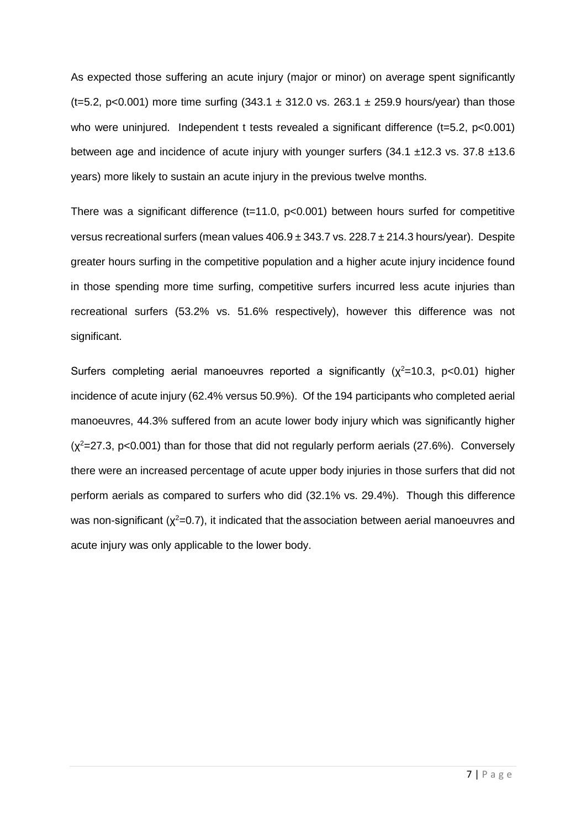As expected those suffering an acute injury (major or minor) on average spent significantly (t=5.2, p<0.001) more time surfing  $(343.1 \pm 312.0 \text{ vs. } 263.1 \pm 259.9 \text{ hours/year})$  than those who were uninjured. Independent t tests revealed a significant difference (t=5.2, p<0.001) between age and incidence of acute injury with younger surfers (34.1 ±12.3 vs. 37.8 ±13.6 years) more likely to sustain an acute injury in the previous twelve months.

There was a significant difference (t=11.0, p<0.001) between hours surfed for competitive versus recreational surfers (mean values  $406.9 \pm 343.7$  vs.  $228.7 \pm 214.3$  hours/year). Despite greater hours surfing in the competitive population and a higher acute injury incidence found in those spending more time surfing, competitive surfers incurred less acute injuries than recreational surfers (53.2% vs. 51.6% respectively), however this difference was not significant.

Surfers completing aerial manoeuvres reported a significantly  $(\chi^2=10.3, \text{ p}<0.01)$  higher incidence of acute injury (62.4% versus 50.9%). Of the 194 participants who completed aerial manoeuvres, 44.3% suffered from an acute lower body injury which was significantly higher  $(x^2=27.3, p<0.001)$  than for those that did not regularly perform aerials (27.6%). Conversely there were an increased percentage of acute upper body injuries in those surfers that did not perform aerials as compared to surfers who did (32.1% vs. 29.4%). Though this difference was non-significant ( $\chi^2$ =0.7), it indicated that the association between aerial manoeuvres and acute injury was only applicable to the lower body.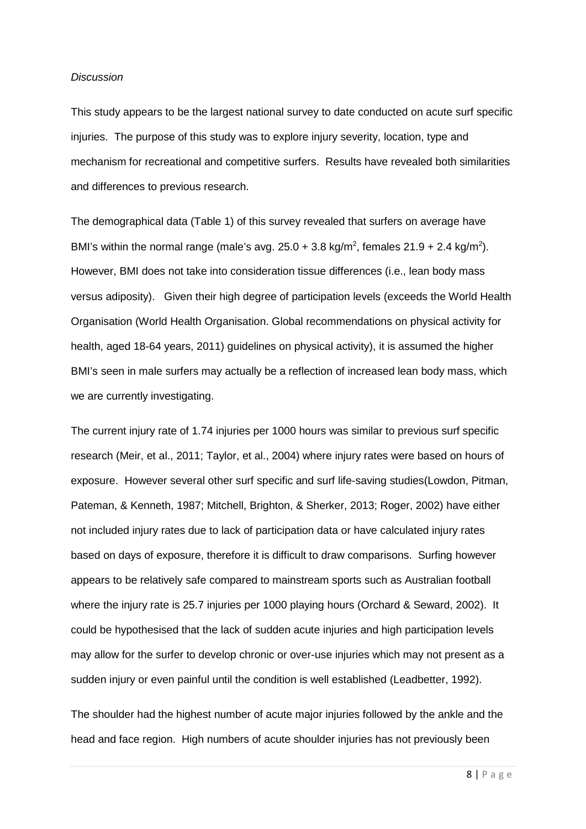#### *Discussion*

This study appears to be the largest national survey to date conducted on acute surf specific injuries. The purpose of this study was to explore injury severity, location, type and mechanism for recreational and competitive surfers. Results have revealed both similarities and differences to previous research.

The demographical data (Table 1) of this survey revealed that surfers on average have BMI's within the normal range (male's avg.  $25.0 + 3.8$  kg/m<sup>2</sup>, females  $21.9 + 2.4$  kg/m<sup>2</sup>). However, BMI does not take into consideration tissue differences (i.e., lean body mass versus adiposity). Given their high degree of participation levels (exceeds the World Health Organisation [\(World Health Organisation. Global recommendations on physical activity for](#page-13-6)  [health, aged 18-64 years, 2011\)](#page-13-6) guidelines on physical activity), it is assumed the higher BMI's seen in male surfers may actually be a reflection of increased lean body mass, which we are currently investigating.

The current injury rate of 1.74 injuries per 1000 hours was similar to previous surf specific research [\(Meir, et al., 2011;](#page-12-2) [Taylor, et al., 2004\)](#page-13-4) where injury rates were based on hours of exposure. However several other surf specific and surf life-saving studies[\(Lowdon, Pitman,](#page-12-4)  [Pateman, & Kenneth, 1987;](#page-12-4) [Mitchell, Brighton, & Sherker, 2013;](#page-12-5) [Roger, 2002\)](#page-13-3) have either not included injury rates due to lack of participation data or have calculated injury rates based on days of exposure, therefore it is difficult to draw comparisons. Surfing however appears to be relatively safe compared to mainstream sports such as Australian football where the injury rate is 25.7 injuries per 1000 playing hours [\(Orchard & Seward, 2002\)](#page-13-7). It could be hypothesised that the lack of sudden acute injuries and high participation levels may allow for the surfer to develop chronic or over-use injuries which may not present as a sudden injury or even painful until the condition is well established [\(Leadbetter, 1992\)](#page-12-6).

The shoulder had the highest number of acute major injuries followed by the ankle and the head and face region. High numbers of acute shoulder injuries has not previously been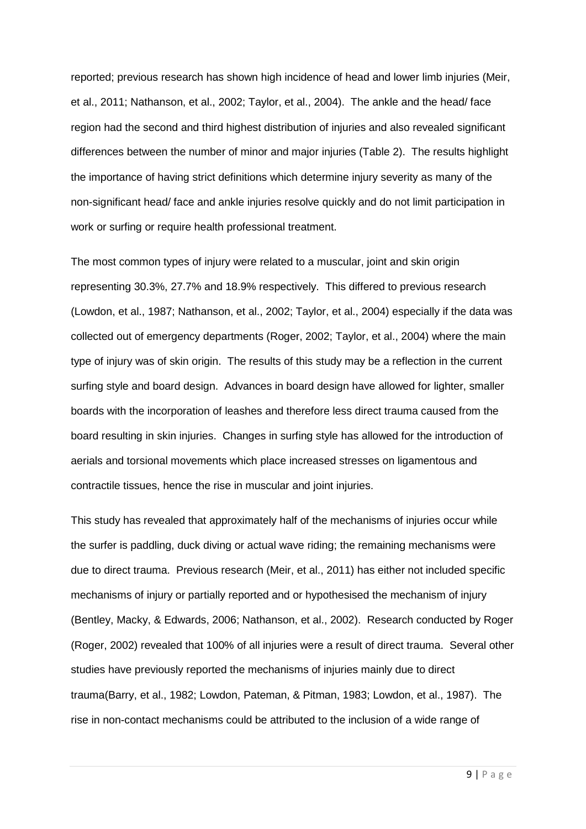reported; previous research has shown high incidence of head and lower limb injuries [\(Meir,](#page-12-2)  [et al., 2011;](#page-12-2) [Nathanson, et al., 2002;](#page-13-0) [Taylor, et al., 2004\)](#page-13-4). The ankle and the head/ face region had the second and third highest distribution of injuries and also revealed significant differences between the number of minor and major injuries (Table 2). The results highlight the importance of having strict definitions which determine injury severity as many of the non-significant head/ face and ankle injuries resolve quickly and do not limit participation in work or surfing or require health professional treatment.

The most common types of injury were related to a muscular, joint and skin origin representing 30.3%, 27.7% and 18.9% respectively. This differed to previous research [\(Lowdon, et al., 1987;](#page-12-4) [Nathanson, et al., 2002;](#page-13-0) [Taylor, et al., 2004\)](#page-13-4) especially if the data was collected out of emergency departments [\(Roger, 2002;](#page-13-3) [Taylor, et al., 2004\)](#page-13-4) where the main type of injury was of skin origin. The results of this study may be a reflection in the current surfing style and board design. Advances in board design have allowed for lighter, smaller boards with the incorporation of leashes and therefore less direct trauma caused from the board resulting in skin injuries. Changes in surfing style has allowed for the introduction of aerials and torsional movements which place increased stresses on ligamentous and contractile tissues, hence the rise in muscular and joint injuries.

This study has revealed that approximately half of the mechanisms of injuries occur while the surfer is paddling, duck diving or actual wave riding; the remaining mechanisms were due to direct trauma. Previous research [\(Meir, et al., 2011\)](#page-12-2) has either not included specific mechanisms of injury or partially reported and or hypothesised the mechanism of injury [\(Bentley, Macky, & Edwards, 2006;](#page-12-7) [Nathanson, et al., 2002\)](#page-13-0). Research conducted by Roger [\(Roger, 2002\)](#page-13-3) revealed that 100% of all injuries were a result of direct trauma. Several other studies have previously reported the mechanisms of injuries mainly due to direct trauma[\(Barry, et al., 1982;](#page-12-1) [Lowdon, Pateman, & Pitman, 1983;](#page-12-8) [Lowdon, et al., 1987\)](#page-12-4). The rise in non-contact mechanisms could be attributed to the inclusion of a wide range of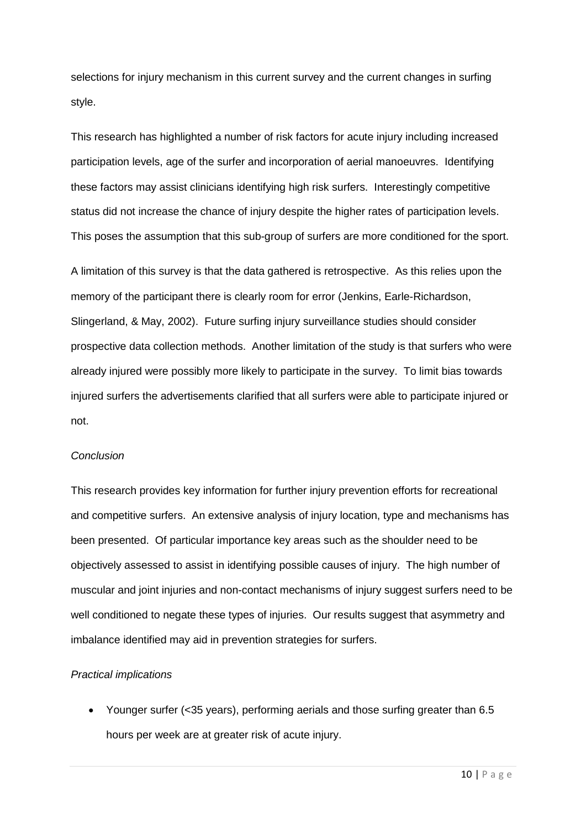selections for injury mechanism in this current survey and the current changes in surfing style.

This research has highlighted a number of risk factors for acute injury including increased participation levels, age of the surfer and incorporation of aerial manoeuvres. Identifying these factors may assist clinicians identifying high risk surfers. Interestingly competitive status did not increase the chance of injury despite the higher rates of participation levels. This poses the assumption that this sub-group of surfers are more conditioned for the sport.

A limitation of this survey is that the data gathered is retrospective. As this relies upon the memory of the participant there is clearly room for error [\(Jenkins, Earle-Richardson,](#page-12-9)  [Slingerland, & May, 2002\)](#page-12-9). Future surfing injury surveillance studies should consider prospective data collection methods. Another limitation of the study is that surfers who were already injured were possibly more likely to participate in the survey. To limit bias towards injured surfers the advertisements clarified that all surfers were able to participate injured or not.

#### *Conclusion*

This research provides key information for further injury prevention efforts for recreational and competitive surfers. An extensive analysis of injury location, type and mechanisms has been presented. Of particular importance key areas such as the shoulder need to be objectively assessed to assist in identifying possible causes of injury. The high number of muscular and joint injuries and non-contact mechanisms of injury suggest surfers need to be well conditioned to negate these types of injuries. Our results suggest that asymmetry and imbalance identified may aid in prevention strategies for surfers.

## *Practical implications*

• Younger surfer (<35 years), performing aerials and those surfing greater than 6.5 hours per week are at greater risk of acute injury.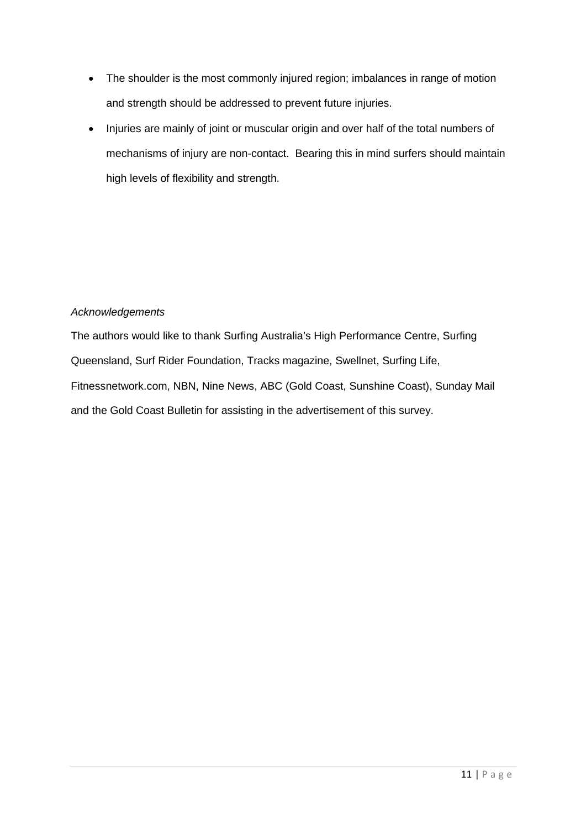- The shoulder is the most commonly injured region; imbalances in range of motion and strength should be addressed to prevent future injuries.
- Injuries are mainly of joint or muscular origin and over half of the total numbers of mechanisms of injury are non-contact. Bearing this in mind surfers should maintain high levels of flexibility and strength.

# *Acknowledgements*

The authors would like to thank Surfing Australia's High Performance Centre, Surfing Queensland, Surf Rider Foundation, Tracks magazine, Swellnet, Surfing Life, Fitnessnetwork.com, NBN, Nine News, ABC (Gold Coast, Sunshine Coast), Sunday Mail and the Gold Coast Bulletin for assisting in the advertisement of this survey.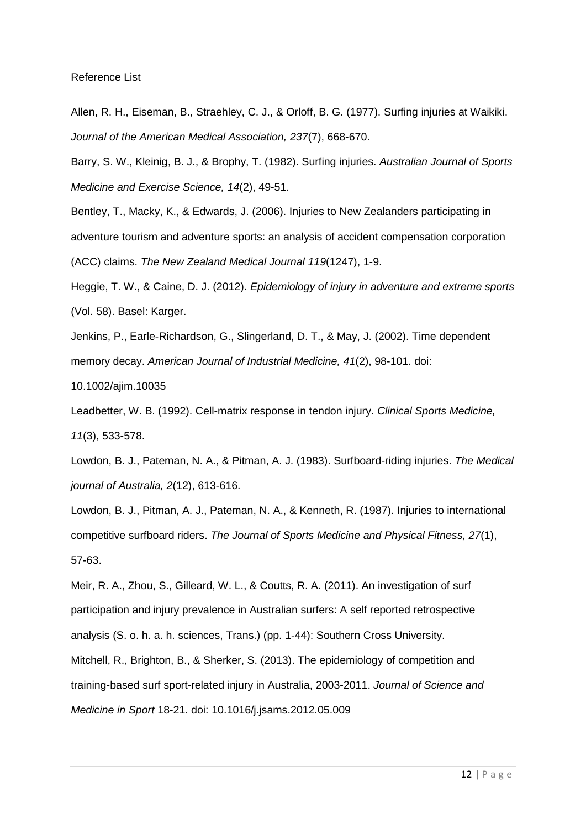#### Reference List

<span id="page-12-0"></span>Allen, R. H., Eiseman, B., Straehley, C. J., & Orloff, B. G. (1977). Surfing injuries at Waikiki. *Journal of the American Medical Association, 237*(7), 668-670.

<span id="page-12-1"></span>Barry, S. W., Kleinig, B. J., & Brophy, T. (1982). Surfing injuries. *Australian Journal of Sports Medicine and Exercise Science, 14*(2), 49-51.

<span id="page-12-7"></span>Bentley, T., Macky, K., & Edwards, J. (2006). Injuries to New Zealanders participating in adventure tourism and adventure sports: an analysis of accident compensation corporation (ACC) claims. *The New Zealand Medical Journal 119*(1247), 1-9.

<span id="page-12-3"></span>Heggie, T. W., & Caine, D. J. (2012). *Epidemiology of injury in adventure and extreme sports* (Vol. 58). Basel: Karger.

<span id="page-12-9"></span>Jenkins, P., Earle-Richardson, G., Slingerland, D. T., & May, J. (2002). Time dependent memory decay. *American Journal of Industrial Medicine, 41*(2), 98-101. doi:

10.1002/ajim.10035

<span id="page-12-6"></span>Leadbetter, W. B. (1992). Cell-matrix response in tendon injury. *Clinical Sports Medicine, 11*(3), 533-578.

<span id="page-12-8"></span>Lowdon, B. J., Pateman, N. A., & Pitman, A. J. (1983). Surfboard-riding injuries. *The Medical journal of Australia, 2*(12), 613-616.

<span id="page-12-4"></span>Lowdon, B. J., Pitman, A. J., Pateman, N. A., & Kenneth, R. (1987). Injuries to international competitive surfboard riders. *The Journal of Sports Medicine and Physical Fitness, 27*(1), 57-63.

<span id="page-12-5"></span><span id="page-12-2"></span>Meir, R. A., Zhou, S., Gilleard, W. L., & Coutts, R. A. (2011). An investigation of surf participation and injury prevalence in Australian surfers: A self reported retrospective analysis (S. o. h. a. h. sciences, Trans.) (pp. 1-44): Southern Cross University. Mitchell, R., Brighton, B., & Sherker, S. (2013). The epidemiology of competition and training-based surf sport-related injury in Australia, 2003-2011. *Journal of Science and Medicine in Sport* 18-21. doi: 10.1016/j.jsams.2012.05.009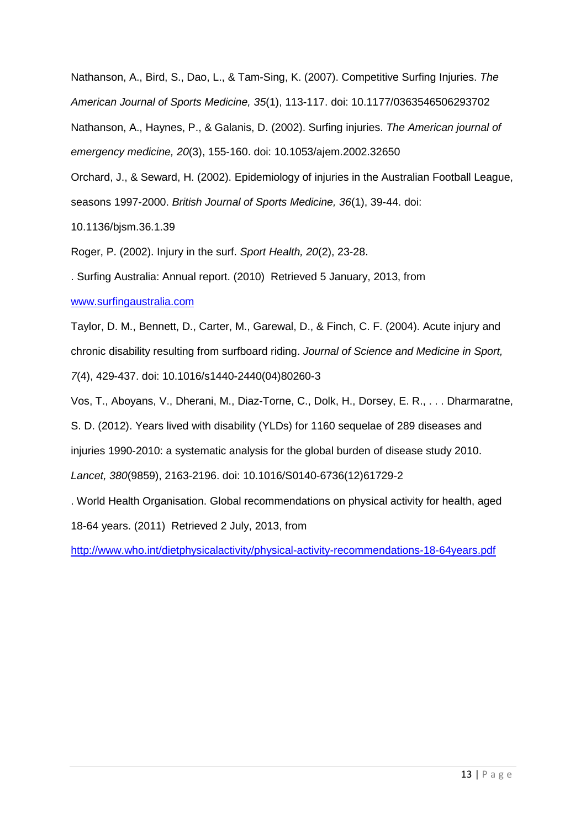<span id="page-13-2"></span><span id="page-13-0"></span>Nathanson, A., Bird, S., Dao, L., & Tam-Sing, K. (2007). Competitive Surfing Injuries. *The American Journal of Sports Medicine, 35*(1), 113-117. doi: 10.1177/0363546506293702 Nathanson, A., Haynes, P., & Galanis, D. (2002). Surfing injuries. *The American journal of emergency medicine, 20*(3), 155-160. doi: 10.1053/ajem.2002.32650 Orchard, J., & Seward, H. (2002). Epidemiology of injuries in the Australian Football League, seasons 1997-2000. *British Journal of Sports Medicine, 36*(1), 39-44. doi: 10.1136/bjsm.36.1.39

<span id="page-13-7"></span><span id="page-13-3"></span>Roger, P. (2002). Injury in the surf. *Sport Health, 20*(2), 23-28.

<span id="page-13-1"></span>. Surfing Australia: Annual report. (2010) Retrieved 5 January, 2013, from

## [www.surfingaustralia.com](http://www.surfingaustralia.com/)

<span id="page-13-4"></span>Taylor, D. M., Bennett, D., Carter, M., Garewal, D., & Finch, C. F. (2004). Acute injury and chronic disability resulting from surfboard riding. *Journal of Science and Medicine in Sport, 7*(4), 429-437. doi: 10.1016/s1440-2440(04)80260-3

<span id="page-13-5"></span>Vos, T., Aboyans, V., Dherani, M., Diaz-Torne, C., Dolk, H., Dorsey, E. R., . . . Dharmaratne,

S. D. (2012). Years lived with disability (YLDs) for 1160 sequelae of 289 diseases and

injuries 1990-2010: a systematic analysis for the global burden of disease study 2010.

*Lancet, 380*(9859), 2163-2196. doi: 10.1016/S0140-6736(12)61729-2

<span id="page-13-6"></span>. World Health Organisation. Global recommendations on physical activity for health, aged 18-64 years. (2011) Retrieved 2 July, 2013, from

<http://www.who.int/dietphysicalactivity/physical-activity-recommendations-18-64years.pdf>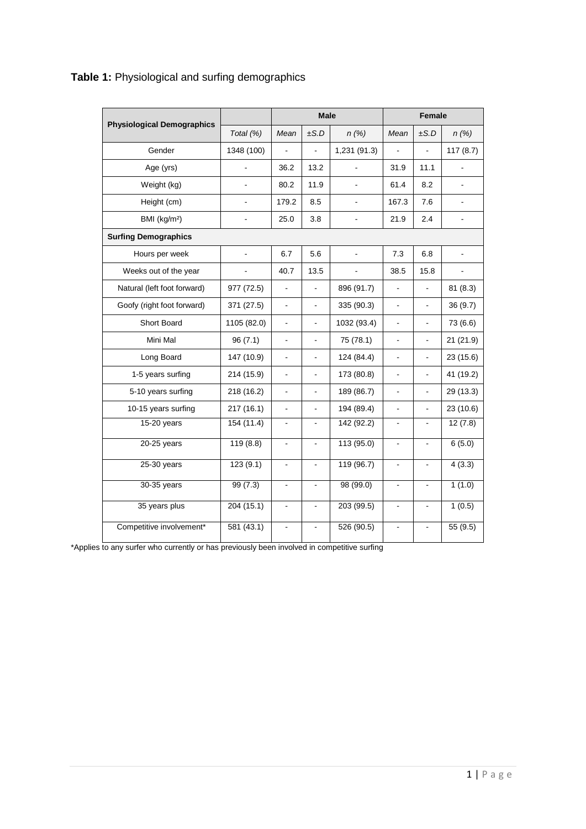| <b>Physiological Demographics</b> |                | <b>Male</b>              |                |                | <b>Female</b>                |                |                       |
|-----------------------------------|----------------|--------------------------|----------------|----------------|------------------------------|----------------|-----------------------|
|                                   | Total (%)      | Mean                     | ±S.D           | n(%)           | Mean                         | ±S.D           | $n(\%)$               |
| Gender                            | 1348 (100)     | $\overline{\phantom{a}}$ | ä,             | 1,231 (91.3)   | $\overline{\phantom{a}}$     | L.             | 117(8.7)              |
| Age (yrs)                         | ä,             | 36.2                     | 13.2           | $\overline{a}$ | 31.9                         | 11.1           | $\tilde{\phantom{a}}$ |
| Weight (kg)                       | L,             | 80.2                     | 11.9           | $\blacksquare$ | 61.4                         | 8.2            | $\blacksquare$        |
| Height (cm)                       | $\blacksquare$ | 179.2                    | 8.5            | $\blacksquare$ | 167.3                        | 7.6            | $\blacksquare$        |
| BMI (kg/m <sup>2</sup> )          | $\frac{1}{2}$  | 25.0                     | 3.8            | $\blacksquare$ | 21.9                         | 2.4            | $\blacksquare$        |
| <b>Surfing Demographics</b>       |                |                          |                |                |                              |                |                       |
| Hours per week                    | $\overline{a}$ | 6.7                      | 5.6            | $\overline{a}$ | 7.3                          | 6.8            | $\frac{1}{2}$         |
| Weeks out of the year             |                | 40.7                     | 13.5           |                | 38.5                         | 15.8           | ÷,                    |
| Natural (left foot forward)       | 977 (72.5)     | L,                       | ä,             | 896 (91.7)     | $\blacksquare$               | ä,             | 81(8.3)               |
| Goofy (right foot forward)        | 371 (27.5)     | $\blacksquare$           |                | 335 (90.3)     | $\blacksquare$               |                | 36(9.7)               |
| Short Board                       | 1105 (82.0)    | $\blacksquare$           | ÷,             | 1032 (93.4)    | $\blacksquare$               |                | 73 (6.6)              |
| Mini Mal                          | 96(7.1)        | $\overline{a}$           |                | 75 (78.1)      |                              |                | 21(21.9)              |
| Long Board                        | 147 (10.9)     | $\overline{\phantom{a}}$ | ÷              | 124 (84.4)     | $\overline{\phantom{a}}$     | $\blacksquare$ | 23 (15.6)             |
| 1-5 years surfing                 | 214 (15.9)     | $\blacksquare$           | ٠              | 173 (80.8)     | ۰                            |                | 41 (19.2)             |
| 5-10 years surfing                | 218 (16.2)     | $\blacksquare$           | ÷.             | 189 (86.7)     | $\blacksquare$               | $\overline{a}$ | 29 (13.3)             |
| 10-15 years surfing               | 217(16.1)      | ä,                       |                | 194 (89.4)     |                              |                | 23(10.6)              |
| 15-20 years                       | 154 (11.4)     | $\blacksquare$           | ÷,             | 142 (92.2)     | $\qquad \qquad \blacksquare$ | $\blacksquare$ | 12(7.8)               |
| 20-25 years                       | 119(8.8)       |                          |                | 113 (95.0)     |                              |                | 6(5.0)                |
| $25-30$ years                     | 123(9.1)       | $\blacksquare$           |                | 119(96.7)      | $\blacksquare$               | $\blacksquare$ | 4(3.3)                |
| 30-35 years                       | 99(7.3)        | $\overline{\phantom{a}}$ |                | 98(99.0)       |                              |                | 1(1.0)                |
| 35 years plus                     | 204(15.1)      | $\blacksquare$           | $\blacksquare$ | 203 (99.5)     | $\blacksquare$               | $\blacksquare$ | 1(0.5)                |
| Competitive involvement*          | 581(43.1)      | $\blacksquare$           |                | 526(90.5)      | $\blacksquare$               |                | 55(9.5)               |

# **Table 1:** Physiological and surfing demographics

\*Applies to any surfer who currently or has previously been involved in competitive surfing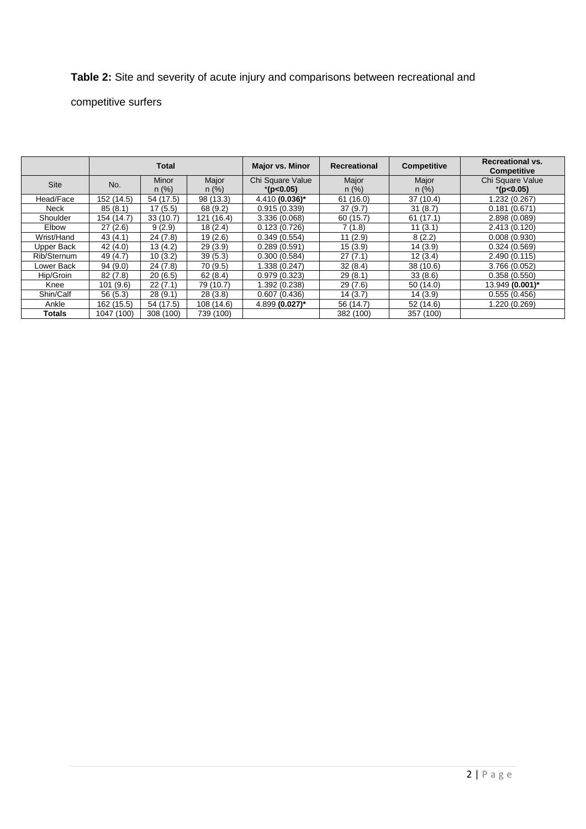# **Table 2:** Site and severity of acute injury and comparisons between recreational and

# competitive surfers

|             | <b>Total</b> |           | <b>Major vs. Minor</b><br><b>Recreational</b> |                  | <b>Competitive</b> | <b>Recreational vs.</b><br><b>Competitive</b> |                  |
|-------------|--------------|-----------|-----------------------------------------------|------------------|--------------------|-----------------------------------------------|------------------|
| <b>Site</b> | No.          | Minor     | Major                                         | Chi Square Value | Major              | Major                                         | Chi Square Value |
|             |              | n (%)     | n(%)                                          | $*(p<0.05)$      | $n (\%)$           | $n (\%)$                                      | $*(p<0.05)$      |
| Head/Face   | 152 (14.5)   | 54 (17.5) | 98 (13.3)                                     | 4.410 (0.036)*   | 61(16.0)           | 37(10.4)                                      | 1.232 (0.267)    |
| Neck        | 85(8.1)      | 17(5.5)   | 68 (9.2)                                      | 0.915(0.339)     | 37(9.7)            | 31(8.7)                                       | 0.181(0.671)     |
| Shoulder    | 154 (14.7)   | 33(10.7)  | 121 (16.4)                                    | 3.336(0.068)     | 60 (15.7)          | 61(17.1)                                      | 2.898 (0.089)    |
| Elbow       | 27(2.6)      | 9(2.9)    | 18(2.4)                                       | 0.123(0.726)     | 7(1.8)             | 11(3.1)                                       | 2.413 (0.120)    |
| Wrist/Hand  | 43(4.1)      | 24(7.8)   | 19(2.6)                                       | 0.349(0.554)     | 11(2.9)            | 8(2.2)                                        | 0.008(0.930)     |
| Upper Back  | 42 (4.0)     | 13(4.2)   | 29(3.9)                                       | 0.289(0.591)     | 15(3.9)            | 14(3.9)                                       | 0.324(0.569)     |
| Rib/Sternum | 49 (4.7)     | 10(3.2)   | 39(5.3)                                       | 0.300(0.584)     | 27(7.1)            | 12(3.4)                                       | 2.490(0.115)     |
| Lower Back  | 94(9.0)      | 24(7.8)   | 70 (9.5)                                      | 1.338 (0.247)    | 32(8.4)            | 38(10.6)                                      | 3.766 (0.052)    |
| Hip/Groin   | 82(7.8)      | 20(6.5)   | 62(8.4)                                       | 0.979(0.323)     | 29(8.1)            | 33(8.6)                                       | 0.358(0.550)     |
| Knee        | 101(9.6)     | 22(7.1)   | 79 (10.7)                                     | 1.392 (0.238)    | 29(7.6)            | 50(14.0)                                      | 13.949 (0.001)*  |
| Shin/Calf   | 56(5.3)      | 28(9.1)   | 28(3.8)                                       | 0.607(0.436)     | 14(3.7)            | 14(3.9)                                       | 0.555(0.456)     |
| Ankle       | 162 (15.5)   | 54 (17.5) | 108 (14.6)                                    | 4.899 (0.027)*   | 56 (14.7)          | 52(14.6)                                      | 1.220 (0.269)    |
| Totals      | 1047 (100)   | 308 (100) | 739 (100)                                     |                  | 382 (100)          | 357 (100)                                     |                  |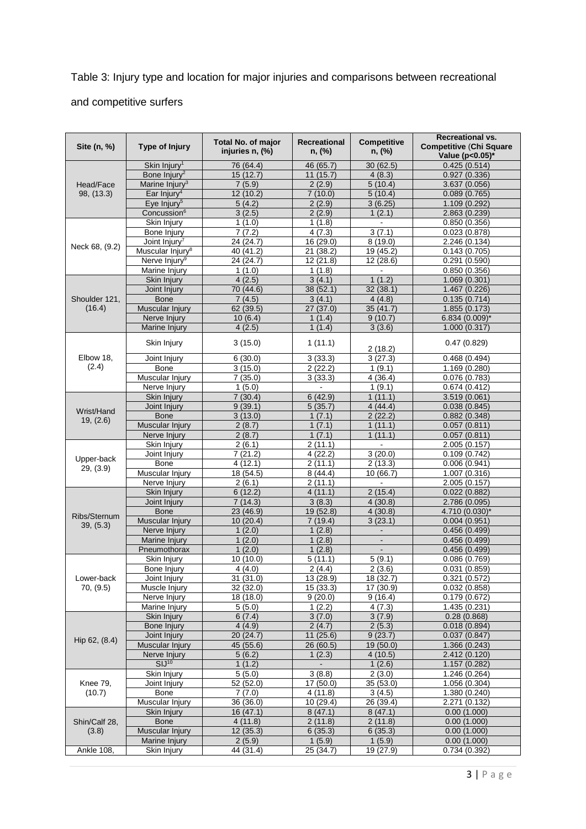# Table 3: Injury type and location for major injuries and comparisons between recreational and competitive surfers

| Site (n, %)    | <b>Type of Injury</b>           | <b>Total No. of major</b><br>injuries n, (%) | Recreational<br>n, (%) | <b>Competitive</b><br>n, (%) | Recreational vs.<br><b>Competitive (Chi Square</b><br>Value (p<0.05)* |  |
|----------------|---------------------------------|----------------------------------------------|------------------------|------------------------------|-----------------------------------------------------------------------|--|
|                | Skin Injury <sup>1</sup>        | 76 (64.4)                                    | 46 (65.7)              | 30(62.5)                     | 0.425(0.514)                                                          |  |
| Head/Face      | Bone Injury <sup>2</sup>        | 15(12.7)                                     | 11(15.7)               | 4(8.3)                       | 0.927(0.336)                                                          |  |
|                | Marine Injury <sup>3</sup>      | 7(5.9)                                       | 2(2.9)                 | 5(10.4)                      | 3.637 (0.056)                                                         |  |
| 98, (13.3)     | Ear Injury <sup>4</sup>         | 12 (10.2)                                    | 7(10.0)                | 5(10.4)                      | 0.089(0.765)                                                          |  |
|                | Eye Injury <sup>5</sup>         | 5(4.2)                                       | 2(2.9)                 | 3(6.25)                      | 1.109 (0.292)                                                         |  |
|                | Concussion <sup>6</sup>         | 3(2.5)                                       | 2(2.9)                 | 1(2.1)                       | 2.863 (0.239)                                                         |  |
|                | Skin Injury<br>Bone Injury      | 1(1.0)<br>7(7.2)                             | 1(1.8)<br>4(7.3)       | $\blacksquare$<br>3(7.1)     | 0.850(0.356)<br>0.023(0.878)                                          |  |
|                | Joint Injury <sup>7</sup>       | 24 (24.7)                                    | 16(29.0)               | 8(19.0)                      | 2.246(0.134)                                                          |  |
| Neck 68, (9.2) | Muscular Injury <sup>8</sup>    | 40 (41.2)                                    | 21 (38.2)              | 19 (45.2)                    | 0.143(0.705)                                                          |  |
|                | Nerve Injury <sup>9</sup>       | 24 (24.7)                                    | 12 (21.8)              | 12 (28.6)                    | 0.291(0.590)                                                          |  |
|                | Marine Injury                   | 1(1.0)                                       | 1(1.8)                 |                              | 0.850(0.356)                                                          |  |
|                | Skin Injury                     | 4(2.5)                                       | 3(4.1)                 | 1(1.2)                       | 1.069 (0.301)                                                         |  |
|                | Joint Injury                    | 70 (44.6)                                    | 38 (52.1)              | 32(38.1)                     | 1.467 (0.226)                                                         |  |
| Shoulder 121,  | <b>Bone</b>                     | 7(4.5)                                       | 3(4.1)                 | 4(4.8)                       | 0.135(0.714)                                                          |  |
| (16.4)         | Muscular Injury                 | 62 (39.5)                                    | 27 (37.0)              | 35 (41.7)                    | 1.855(0.173)                                                          |  |
|                | Nerve Injury                    | 10(6.4)                                      | 1(1.4)                 | 9(10.7)                      | 6.834 (0.009)*                                                        |  |
|                | Marine Injury                   | 4(2.5)                                       | 1(1.4)                 | 3(3.6)                       | 1.000(0.317)                                                          |  |
|                | Skin Injury                     | 3(15.0)                                      | 1(11.1)                | 2(18.2)                      | 0.47(0.829)                                                           |  |
| Elbow 18,      | Joint Injury                    | 6(30.0)                                      | 3(33.3)                | $\overline{3}$ (27.3)        | 0.468(0.494)                                                          |  |
| (2.4)          | Bone                            | 3(15.0)                                      | 2(22.2)                | 1(9.1)                       | 1.169 (0.280)                                                         |  |
|                | Muscular Injury                 | 7(35.0)                                      | 3(33.3)                | 4(36.4)                      | 0.076(0.783)                                                          |  |
|                | Nerve Injury                    | 1(5.0)                                       |                        | 1(9.1)                       | 0.674(0.412)                                                          |  |
|                | Skin Injury                     | 7(30.4)                                      | 6(42.9)                | 1(11.1)                      | 3.519 (0.061)                                                         |  |
| Wrist/Hand     | Joint Injury                    | 9(39.1)                                      | 5(35.7)                | 4(44.4)                      | 0.038(0.845)                                                          |  |
| 19, (2.6)      | <b>Bone</b>                     | 3(13.0)                                      | 1(7.1)                 | 2(22.2)                      | 0.882(0.348)                                                          |  |
|                | Muscular Injury                 | 2(8.7)                                       | 1(7.1)                 | 1(11.1)                      | 0.057(0.811)                                                          |  |
|                | Nerve Injury                    | 2(8.7)                                       | 1(7.1)                 | 1(11.1)                      | 0.057(0.811)                                                          |  |
|                | Skin Injury                     | 2(6.1)                                       | 2(11.1)                | $\blacksquare$<br>3(20.0)    | 2.005 (0.157)                                                         |  |
| Upper-back     | Joint Injury<br>Bone            | 7(21.2)<br>4(12.1)                           | 4(22.2)<br>2(11.1)     | 2(13.3)                      | 0.109(0.742)<br>0.006(0.941)                                          |  |
| 29, (3.9)      | Muscular Injury                 | 18 (54.5)                                    | 8(44.4)                | 10(66.7)                     | 1.007 (0.316)                                                         |  |
|                | Nerve Injury                    | 2(6.1)                                       | 2(11.1)                |                              | 2.005 (0.157)                                                         |  |
|                | Skin Injury                     | 6(12.2)                                      | 4(11.1)                | 2(15.4)                      | 0.022(0.882)                                                          |  |
|                | Joint Injury                    | 7(14.3)                                      | 3(8.3)                 | 4(30.8)                      | 2.786 (0.095)                                                         |  |
|                | <b>Bone</b>                     | 23 (46.9)                                    | 19 (52.8)              | 4(30.8)                      | 4.710 (0.030)*                                                        |  |
| Ribs/Sternum   | Muscular Injury                 | 10(20.4)                                     | 7(19.4)                | 3(23.1)                      | 0.004(0.951)                                                          |  |
| 39, (5.3)      | Nerve Injury                    | 1(2.0)                                       | 1(2.8)                 | $\blacksquare$               | 0.456(0.499)                                                          |  |
|                | Marine Injury                   | 1(2.0)                                       | 1(2.8)                 | $\blacksquare$               | 0.456(0.499)                                                          |  |
|                | Pneumothorax                    | 1(2.0)                                       | 1(2.8)                 |                              | 0.456(0.499)                                                          |  |
|                | Skin Injury                     | 10 (10.0)                                    | 5(11.1)                | 5(9.1)                       | 0.086(0.769)                                                          |  |
|                | <b>Bone Injury</b>              | 4(4.0)                                       | 2(4.4)                 | 2(3.6)                       | 0.031(0.859)                                                          |  |
| Lower-back     | Joint Injury                    | 31(31.0)                                     | 13(28.9)               | 18 (32.7)                    | 0.321(0.572)                                                          |  |
| 70, (9.5)      | Muscle Injury                   | 32 (32.0)                                    | 15(33.3)               | 17 (30.9)                    | 0.032(0.858)                                                          |  |
|                | Nerve Injury                    | 18 (18.0)                                    | 9(20.0)                | 9(16.4)                      | 0.179(0.672)                                                          |  |
|                | Marine Injury                   | 5(5.0)                                       | 1(2.2)                 | 4(7.3)                       | 1.435 (0.231)                                                         |  |
|                | Skin Injury                     | 6(7.4)                                       | 3(7.0)                 | 3(7.9)                       | 0.28(0.868)                                                           |  |
|                | Bone Injury                     | 4(4.9)                                       | 2(4.7)                 | 2(5.3)                       | 0.018(0.894)<br>0.037(0.847)                                          |  |
| Hip 62, (8.4)  | Joint Injury<br>Muscular Injury | 20 (24.7)<br>45(55.6)                        | 11 (25.6)<br>26 (60.5) | 9(23.7)<br>19 (50.0)         | 1.366 (0.243)                                                         |  |
|                | Nerve Injury                    | 5(6.2)                                       | 1(2.3)                 | 4(10.5)                      | 2.412 (0.120)                                                         |  |
|                | SIJ <sup>10</sup>               | 1(1.2)                                       | $\blacksquare$         | 1(2.6)                       | 1.157 (0.282)                                                         |  |
|                | Skin Injury                     | 5(5.0)                                       | 3(8.8)                 | 2(3.0)                       | 1.246 (0.264)                                                         |  |
| Knee 79,       | Joint Injury                    | 52 (52.0)                                    | $\overline{17}$ (50.0) | 35 (53.0)                    | 1.056(0.304)                                                          |  |
| (10.7)         | Bone                            | 7(7.0)                                       | 4(11.8)                | 3(4.5)                       | 1.380 (0.240)                                                         |  |
|                | Muscular Injury                 | 36 (36.0)                                    | 10(29.4)               | 26 (39.4)                    | 2.271 (0.132)                                                         |  |
|                | Skin Injury                     | 16 (47.1)                                    | 8(47.1)                | 8(47.1)                      | 0.00(1.000)                                                           |  |
| Shin/Calf 28,  | <b>Bone</b>                     | 4(11.8)                                      | 2(11.8)                | 2(11.8)                      | 0.00(1.000)                                                           |  |
| (3.8)          | Muscular Injury                 | 12 (35.3)                                    | 6(35.3)                | 6(35.3)                      | 0.00(1.000)                                                           |  |
|                | Marine Injury                   | 2(5.9)                                       | 1(5.9)                 | 1(5.9)                       | 0.00(1.000)                                                           |  |
| Ankle 108,     | Skin Injury                     | 44 (31.4)                                    | 25 (34.7)              | 19 (27.9)                    | 0.734(0.392)                                                          |  |